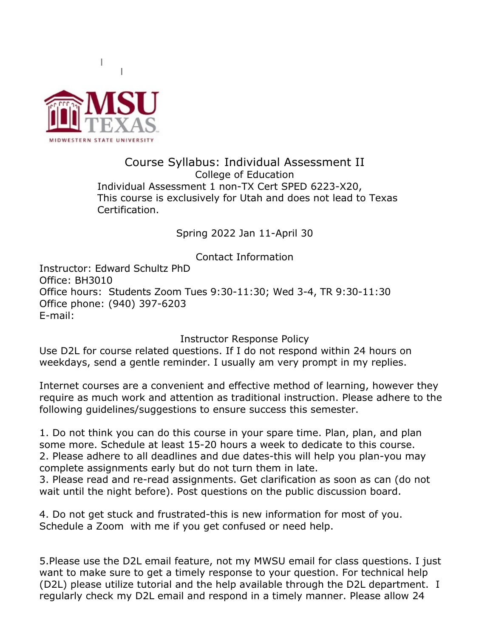

### Course Syllabus: Individual Assessment II College of Education Individual Assessment 1 non-TX Cert SPED 6223-X20, This course is exclusively for Utah and does not lead to Texas Certification.

Spring 2022 Jan 11-April 30

Contact Information

Instructor: Edward Schultz PhD Office: BH3010 Office hours: Students Zoom Tues 9:30-11:30; Wed 3-4, TR 9:30-11:30 Office phone: (940) 397-6203 E-mail:

Instructor Response Policy

Use D2L for course related questions. If I do not respond within 24 hours on weekdays, send a gentle reminder. I usually am very prompt in my replies.

Internet courses are a convenient and effective method of learning, however they require as much work and attention as traditional instruction. Please adhere to the following guidelines/suggestions to ensure success this semester.

1. Do not think you can do this course in your spare time. Plan, plan, and plan some more. Schedule at least 15-20 hours a week to dedicate to this course. 2. Please adhere to all deadlines and due dates-this will help you plan-you may complete assignments early but do not turn them in late.

3. Please read and re-read assignments. Get clarification as soon as can (do not wait until the night before). Post questions on the public discussion board.

4. Do not get stuck and frustrated-this is new information for most of you. Schedule a Zoom with me if you get confused or need help.

5.Please use the D2L email feature, not my MWSU email for class questions. I just want to make sure to get a timely response to your question. For technical help (D2L) please utilize tutorial and the help available through the D2L department. I regularly check my D2L email and respond in a timely manner. Please allow 24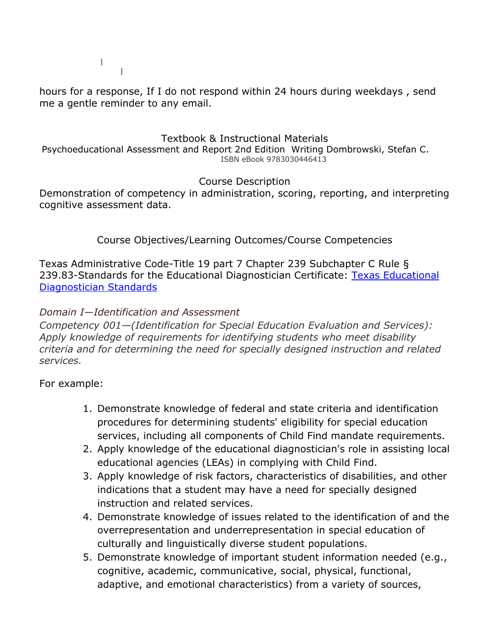hours for a response, If I do not respond within 24 hours during weekdays , send me a gentle reminder to any email.

## Textbook & Instructional Materials

Psychoeducational Assessment and Report 2nd Edition Writing Dombrowski, Stefan C. ISBN eBook 9783030446413

Course Description

Demonstration of competency in administration, scoring, reporting, and interpreting cognitive assessment data.

Course Objectives/Learning Outcomes/Course Competencies

Texas Administrative Code-Title 19 part 7 Chapter 239 Subchapter C Rule § 239.83-Standards for the Educational Diagnostician Certificate: Texas Educational Diagnostician Standards

## *Domain I—Identification and Assessment*

*Competency 001—(Identification for Special Education Evaluation and Services): Apply knowledge of requirements for identifying students who meet disability criteria and for determining the need for specially designed instruction and related services.*

- 1. Demonstrate knowledge of federal and state criteria and identification procedures for determining students' eligibility for special education services, including all components of Child Find mandate requirements.
- 2. Apply knowledge of the educational diagnostician's role in assisting local educational agencies (LEAs) in complying with Child Find.
- 3. Apply knowledge of risk factors, characteristics of disabilities, and other indications that a student may have a need for specially designed instruction and related services.
- 4. Demonstrate knowledge of issues related to the identification of and the overrepresentation and underrepresentation in special education of culturally and linguistically diverse student populations.
- 5. Demonstrate knowledge of important student information needed (e.g., cognitive, academic, communicative, social, physical, functional, adaptive, and emotional characteristics) from a variety of sources,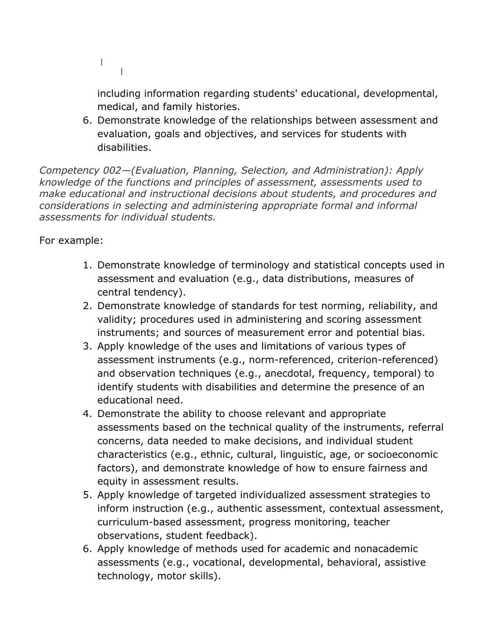L.

including information regarding students' educational, developmental, medical, and family histories.

6. Demonstrate knowledge of the relationships between assessment and evaluation, goals and objectives, and services for students with disabilities.

*Competency 002—(Evaluation, Planning, Selection, and Administration): Apply knowledge of the functions and principles of assessment, assessments used to make educational and instructional decisions about students, and procedures and considerations in selecting and administering appropriate formal and informal assessments for individual students.*

- 1. Demonstrate knowledge of terminology and statistical concepts used in assessment and evaluation (e.g., data distributions, measures of central tendency).
- 2. Demonstrate knowledge of standards for test norming, reliability, and validity; procedures used in administering and scoring assessment instruments; and sources of measurement error and potential bias.
- 3. Apply knowledge of the uses and limitations of various types of assessment instruments (e.g., norm-referenced, criterion-referenced) and observation techniques (e.g., anecdotal, frequency, temporal) to identify students with disabilities and determine the presence of an educational need.
- 4. Demonstrate the ability to choose relevant and appropriate assessments based on the technical quality of the instruments, referral concerns, data needed to make decisions, and individual student characteristics (e.g., ethnic, cultural, linguistic, age, or socioeconomic factors), and demonstrate knowledge of how to ensure fairness and equity in assessment results.
- 5. Apply knowledge of targeted individualized assessment strategies to inform instruction (e.g., authentic assessment, contextual assessment, curriculum-based assessment, progress monitoring, teacher observations, student feedback).
- 6. Apply knowledge of methods used for academic and nonacademic assessments (e.g., vocational, developmental, behavioral, assistive technology, motor skills).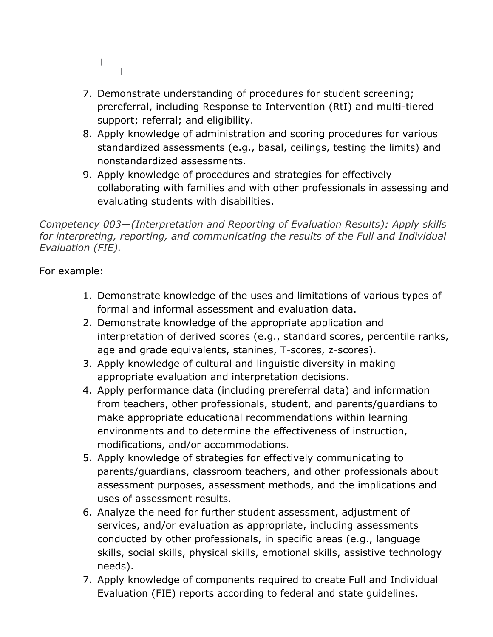- L.  $\Box$
- 7. Demonstrate understanding of procedures for student screening; prereferral, including Response to Intervention (RtI) and multi-tiered support; referral; and eligibility.
- 8. Apply knowledge of administration and scoring procedures for various standardized assessments (e.g., basal, ceilings, testing the limits) and nonstandardized assessments.
- 9. Apply knowledge of procedures and strategies for effectively collaborating with families and with other professionals in assessing and evaluating students with disabilities.

*Competency 003—(Interpretation and Reporting of Evaluation Results): Apply skills for interpreting, reporting, and communicating the results of the Full and Individual Evaluation (FIE).*

- 1. Demonstrate knowledge of the uses and limitations of various types of formal and informal assessment and evaluation data.
- 2. Demonstrate knowledge of the appropriate application and interpretation of derived scores (e.g., standard scores, percentile ranks, age and grade equivalents, stanines, T-scores, z-scores).
- 3. Apply knowledge of cultural and linguistic diversity in making appropriate evaluation and interpretation decisions.
- 4. Apply performance data (including prereferral data) and information from teachers, other professionals, student, and parents/guardians to make appropriate educational recommendations within learning environments and to determine the effectiveness of instruction, modifications, and/or accommodations.
- 5. Apply knowledge of strategies for effectively communicating to parents/guardians, classroom teachers, and other professionals about assessment purposes, assessment methods, and the implications and uses of assessment results.
- 6. Analyze the need for further student assessment, adjustment of services, and/or evaluation as appropriate, including assessments conducted by other professionals, in specific areas (e.g., language skills, social skills, physical skills, emotional skills, assistive technology needs).
- 7. Apply knowledge of components required to create Full and Individual Evaluation (FIE) reports according to federal and state guidelines.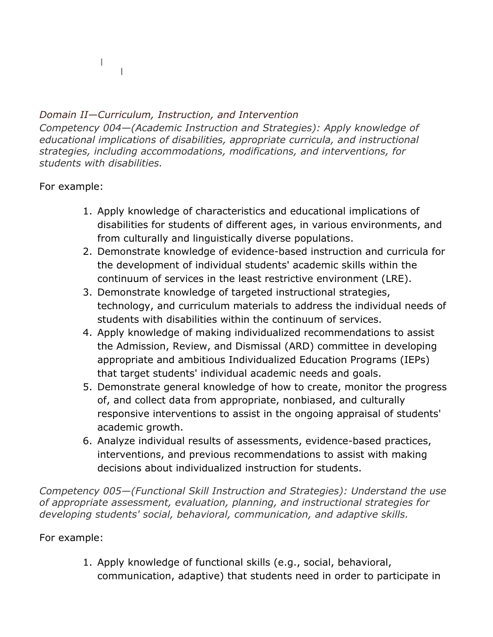## *Domain II—Curriculum, Instruction, and Intervention*

*Competency 004—(Academic Instruction and Strategies): Apply knowledge of educational implications of disabilities, appropriate curricula, and instructional strategies, including accommodations, modifications, and interventions, for students with disabilities.*

For example:

L.

 $\pm$ 

- 1. Apply knowledge of characteristics and educational implications of disabilities for students of different ages, in various environments, and from culturally and linguistically diverse populations.
- 2. Demonstrate knowledge of evidence-based instruction and curricula for the development of individual students' academic skills within the continuum of services in the least restrictive environment (LRE).
- 3. Demonstrate knowledge of targeted instructional strategies, technology, and curriculum materials to address the individual needs of students with disabilities within the continuum of services.
- 4. Apply knowledge of making individualized recommendations to assist the Admission, Review, and Dismissal (ARD) committee in developing appropriate and ambitious Individualized Education Programs (IEPs) that target students' individual academic needs and goals.
- 5. Demonstrate general knowledge of how to create, monitor the progress of, and collect data from appropriate, nonbiased, and culturally responsive interventions to assist in the ongoing appraisal of students' academic growth.
- 6. Analyze individual results of assessments, evidence-based practices, interventions, and previous recommendations to assist with making decisions about individualized instruction for students.

*Competency 005—(Functional Skill Instruction and Strategies): Understand the use of appropriate assessment, evaluation, planning, and instructional strategies for developing students' social, behavioral, communication, and adaptive skills.*

### For example:

1. Apply knowledge of functional skills (e.g., social, behavioral, communication, adaptive) that students need in order to participate in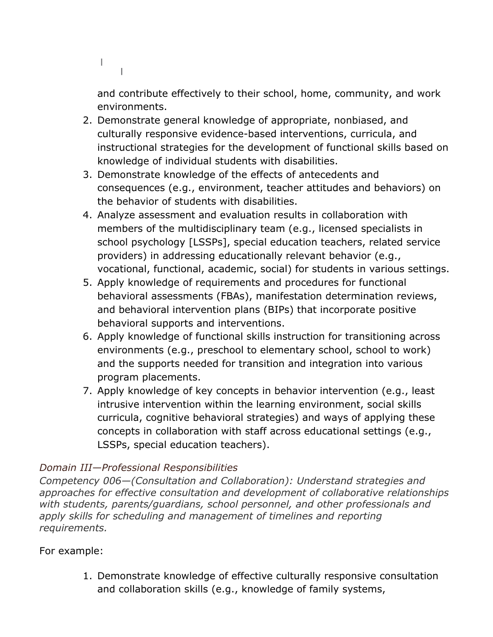$\mathbb{R}$  $\mathbb{R}$ 

and contribute effectively to their school, home, community, and work environments.

- 2. Demonstrate general knowledge of appropriate, nonbiased, and culturally responsive evidence-based interventions, curricula, and instructional strategies for the development of functional skills based on knowledge of individual students with disabilities.
- 3. Demonstrate knowledge of the effects of antecedents and consequences (e.g., environment, teacher attitudes and behaviors) on the behavior of students with disabilities.
- 4. Analyze assessment and evaluation results in collaboration with members of the multidisciplinary team (e.g., licensed specialists in school psychology [LSSPs], special education teachers, related service providers) in addressing educationally relevant behavior (e.g., vocational, functional, academic, social) for students in various settings.
- 5. Apply knowledge of requirements and procedures for functional behavioral assessments (FBAs), manifestation determination reviews, and behavioral intervention plans (BIPs) that incorporate positive behavioral supports and interventions.
- 6. Apply knowledge of functional skills instruction for transitioning across environments (e.g., preschool to elementary school, school to work) and the supports needed for transition and integration into various program placements.
- 7. Apply knowledge of key concepts in behavior intervention (e.g., least intrusive intervention within the learning environment, social skills curricula, cognitive behavioral strategies) and ways of applying these concepts in collaboration with staff across educational settings (e.g., LSSPs, special education teachers).

## *Domain III—Professional Responsibilities*

*Competency 006—(Consultation and Collaboration): Understand strategies and approaches for effective consultation and development of collaborative relationships with students, parents/guardians, school personnel, and other professionals and apply skills for scheduling and management of timelines and reporting requirements.*

## For example:

1. Demonstrate knowledge of effective culturally responsive consultation and collaboration skills (e.g., knowledge of family systems,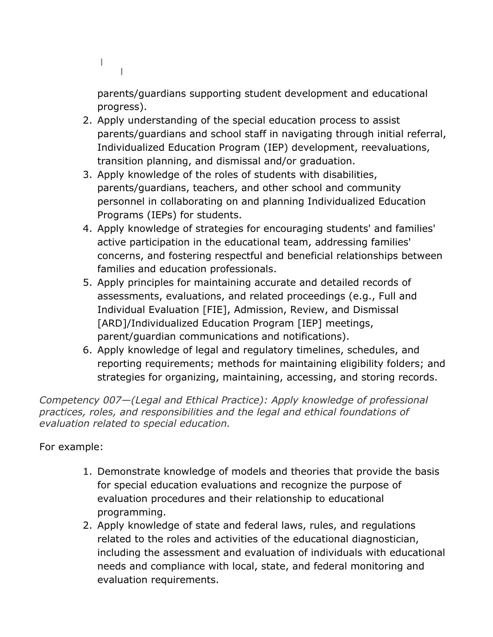```
\mathbb{R}^n\perp
```
parents/guardians supporting student development and educational progress).

- 2. Apply understanding of the special education process to assist parents/guardians and school staff in navigating through initial referral, Individualized Education Program (IEP) development, reevaluations, transition planning, and dismissal and/or graduation.
- 3. Apply knowledge of the roles of students with disabilities, parents/guardians, teachers, and other school and community personnel in collaborating on and planning Individualized Education Programs (IEPs) for students.
- 4. Apply knowledge of strategies for encouraging students' and families' active participation in the educational team, addressing families' concerns, and fostering respectful and beneficial relationships between families and education professionals.
- 5. Apply principles for maintaining accurate and detailed records of assessments, evaluations, and related proceedings (e.g., Full and Individual Evaluation [FIE], Admission, Review, and Dismissal [ARD]/Individualized Education Program [IEP] meetings, parent/guardian communications and notifications).
- 6. Apply knowledge of legal and regulatory timelines, schedules, and reporting requirements; methods for maintaining eligibility folders; and strategies for organizing, maintaining, accessing, and storing records.

*Competency 007—(Legal and Ethical Practice): Apply knowledge of professional practices, roles, and responsibilities and the legal and ethical foundations of evaluation related to special education.*

- 1. Demonstrate knowledge of models and theories that provide the basis for special education evaluations and recognize the purpose of evaluation procedures and their relationship to educational programming.
- 2. Apply knowledge of state and federal laws, rules, and regulations related to the roles and activities of the educational diagnostician, including the assessment and evaluation of individuals with educational needs and compliance with local, state, and federal monitoring and evaluation requirements.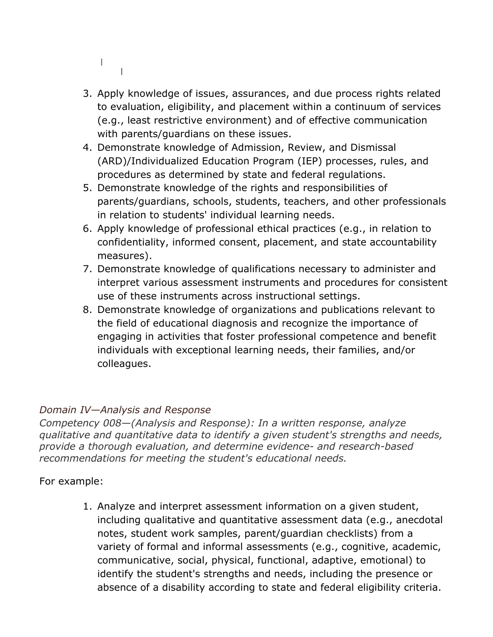- $\mathbb{R}^n$  $\perp$
- 3. Apply knowledge of issues, assurances, and due process rights related to evaluation, eligibility, and placement within a continuum of services (e.g., least restrictive environment) and of effective communication with parents/guardians on these issues.
- 4. Demonstrate knowledge of Admission, Review, and Dismissal (ARD)/Individualized Education Program (IEP) processes, rules, and procedures as determined by state and federal regulations.
- 5. Demonstrate knowledge of the rights and responsibilities of parents/guardians, schools, students, teachers, and other professionals in relation to students' individual learning needs.
- 6. Apply knowledge of professional ethical practices (e.g., in relation to confidentiality, informed consent, placement, and state accountability measures).
- 7. Demonstrate knowledge of qualifications necessary to administer and interpret various assessment instruments and procedures for consistent use of these instruments across instructional settings.
- 8. Demonstrate knowledge of organizations and publications relevant to the field of educational diagnosis and recognize the importance of engaging in activities that foster professional competence and benefit individuals with exceptional learning needs, their families, and/or colleagues.

## *Domain IV—Analysis and Response*

*Competency 008—(Analysis and Response): In a written response, analyze qualitative and quantitative data to identify a given student's strengths and needs, provide a thorough evaluation, and determine evidence- and research-based recommendations for meeting the student's educational needs.*

## For example:

1. Analyze and interpret assessment information on a given student, including qualitative and quantitative assessment data (e.g., anecdotal notes, student work samples, parent/guardian checklists) from a variety of formal and informal assessments (e.g., cognitive, academic, communicative, social, physical, functional, adaptive, emotional) to identify the student's strengths and needs, including the presence or absence of a disability according to state and federal eligibility criteria.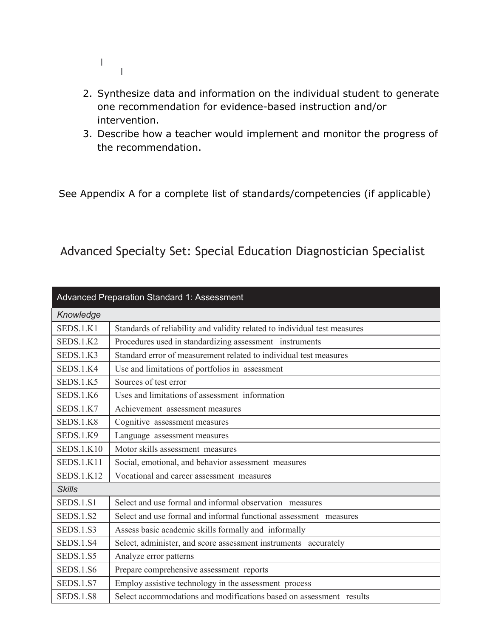- $\mathbb{F}_{\geq 1}$
- 2. Synthesize data and information on the individual student to generate one recommendation for evidence-based instruction and/or intervention.
- 3. Describe how a teacher would implement and monitor the progress of the recommendation.

See Appendix A for a complete list of standards/competencies (if applicable)

Advanced Specialty Set: Special Education Diagnostician Specialist

| Advanced Preparation Standard 1: Assessment |                                                                           |  |
|---------------------------------------------|---------------------------------------------------------------------------|--|
| Knowledge                                   |                                                                           |  |
| SEDS.1.K1                                   | Standards of reliability and validity related to individual test measures |  |
| SEDS.1.K2                                   | Procedures used in standardizing assessment instruments                   |  |
| SEDS.1.K3                                   | Standard error of measurement related to individual test measures         |  |
| SEDS.1.K4                                   | Use and limitations of portfolios in assessment                           |  |
| SEDS.1.K5                                   | Sources of test error                                                     |  |
| SEDS.1.K6                                   | Uses and limitations of assessment information                            |  |
| SEDS.1.K7                                   | Achievement assessment measures                                           |  |
| SEDS.1.K8                                   | Cognitive assessment measures                                             |  |
| SEDS.1.K9                                   | Language assessment measures                                              |  |
| <b>SEDS.1.K10</b>                           | Motor skills assessment measures                                          |  |
| <b>SEDS.1.K11</b>                           | Social, emotional, and behavior assessment measures                       |  |
| <b>SEDS.1.K12</b>                           | Vocational and career assessment measures                                 |  |
| <b>Skills</b>                               |                                                                           |  |
| SEDS.1.S1                                   | Select and use formal and informal observation measures                   |  |
| <b>SEDS.1.S2</b>                            | Select and use formal and informal functional assessment measures         |  |
| <b>SEDS.1.S3</b>                            | Assess basic academic skills formally and informally                      |  |
| <b>SEDS.1.S4</b>                            | Select, administer, and score assessment instruments accurately           |  |
| <b>SEDS.1.S5</b>                            | Analyze error patterns                                                    |  |
| <b>SEDS.1.S6</b>                            | Prepare comprehensive assessment reports                                  |  |
| <b>SEDS.1.S7</b>                            | Employ assistive technology in the assessment process                     |  |
| <b>SEDS.1.S8</b>                            | Select accommodations and modifications based on assessment results       |  |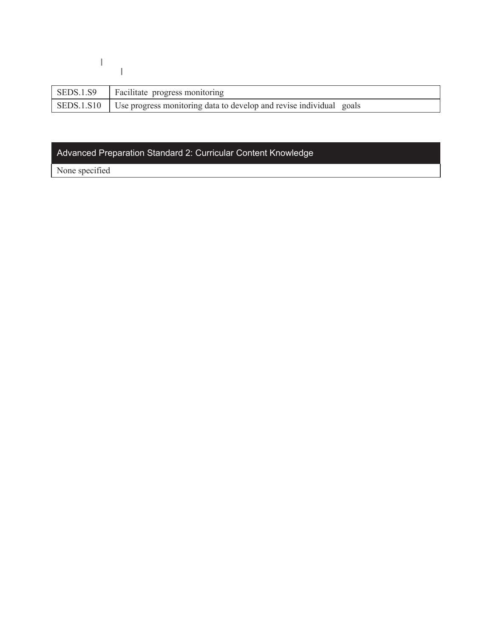$\frac{1}{\sqrt{2}}$ 

| SEDS.1.S9   Facilitate progress monitoring                                       |  |
|----------------------------------------------------------------------------------|--|
| SEDS.1.810   Use progress monitoring data to develop and revise individual goals |  |

# Advanced Preparation Standard 2: Curricular Content Knowledge

None specified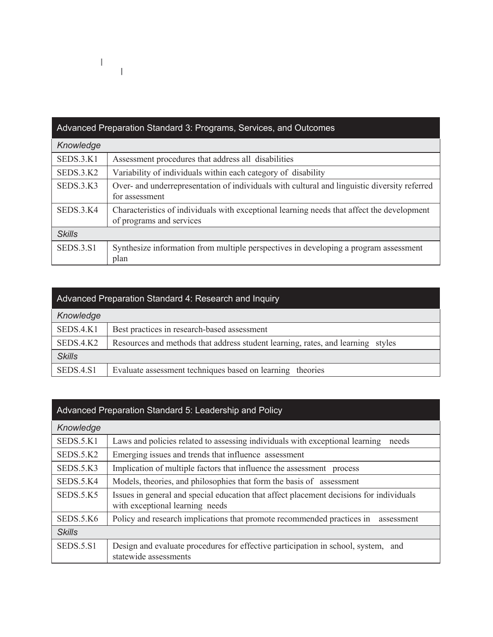

#### Advanced Preparation Standard 4: Research and Inquiry

 $\mathbb{I}$ 

I.

| Knowledge     |                                                                                 |  |
|---------------|---------------------------------------------------------------------------------|--|
| SEDS.4.K1     | Best practices in research-based assessment                                     |  |
| SEDS.4.K2     | Resources and methods that address student learning, rates, and learning styles |  |
| <b>Skills</b> |                                                                                 |  |
| SEDS.4.S1     | Evaluate assessment techniques based on learning theories                       |  |

#### Advanced Preparation Standard 5: Leadership and Policy

| Knowledge        |                                                                                                                            |
|------------------|----------------------------------------------------------------------------------------------------------------------------|
| SEDS.5. K1       | Laws and policies related to assessing individuals with exceptional learning<br>needs                                      |
| SEDS.5.K2        | Emerging issues and trends that influence assessment                                                                       |
| SEDS.5.K3        | Implication of multiple factors that influence the assessment process                                                      |
| SEDS.5.K4        | Models, theories, and philosophies that form the basis of assessment                                                       |
| SEDS.5.K5        | Issues in general and special education that affect placement decisions for individuals<br>with exceptional learning needs |
| SEDS.5.K6        | Policy and research implications that promote recommended practices in<br>assessment                                       |
| <b>Skills</b>    |                                                                                                                            |
| <b>SEDS.5.S1</b> | Design and evaluate procedures for effective participation in school, system, and<br>statewide assessments                 |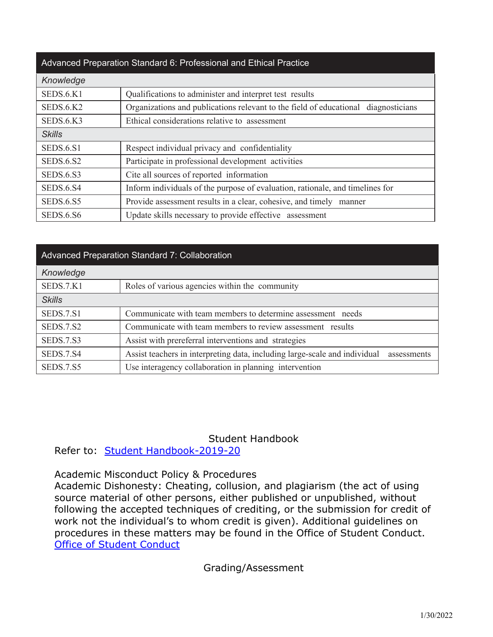### Advanced Preparation Standard 6: Professional and Ethical Practice

| Knowledge        |                                                                                    |
|------------------|------------------------------------------------------------------------------------|
| SEDS.6.K1        | Qualifications to administer and interpret test results                            |
| SEDS.6.K2        | Organizations and publications relevant to the field of educational diagnosticians |
| SEDS.6.K3        | Ethical considerations relative to assessment                                      |
| <b>Skills</b>    |                                                                                    |
| <b>SEDS.6.S1</b> | Respect individual privacy and confidentiality                                     |
| <b>SEDS.6.S2</b> | Participate in professional development activities                                 |
| <b>SEDS.6.S3</b> | Cite all sources of reported information                                           |
| SEDS.6.S4        | Inform individuals of the purpose of evaluation, rationale, and timelines for      |
| <b>SEDS.6.S5</b> | Provide assessment results in a clear, cohesive, and timely<br>manner              |
| <b>SEDS.6.S6</b> | Update skills necessary to provide effective assessment                            |

| <b>Advanced Preparation Standard 7: Collaboration</b> |                                                                                           |  |
|-------------------------------------------------------|-------------------------------------------------------------------------------------------|--|
| Knowledge                                             |                                                                                           |  |
| SEDS.7.K1                                             | Roles of various agencies within the community                                            |  |
| <b>Skills</b>                                         |                                                                                           |  |
| SEDS.7.S1                                             | Communicate with team members to determine assessment needs                               |  |
| SEDS.7.S2                                             | Communicate with team members to review assessment results                                |  |
| SEDS.7.S3                                             | Assist with prereferral interventions and strategies                                      |  |
| SEDS.7.S4                                             | Assist teachers in interpreting data, including large-scale and individual<br>assessments |  |
| <b>SEDS.7.S5</b>                                      | Use interagency collaboration in planning intervention                                    |  |

Student Handbook

Refer to: Student Handbook-2019-20

Academic Misconduct Policy & Procedures

Academic Dishonesty: Cheating, collusion, and plagiarism (the act of using source material of other persons, either published or unpublished, without following the accepted techniques of crediting, or the submission for credit of work not the individual's to whom credit is given). Additional guidelines on procedures in these matters may be found in the Office of Student Conduct. Office of Student Conduct

Grading/Assessment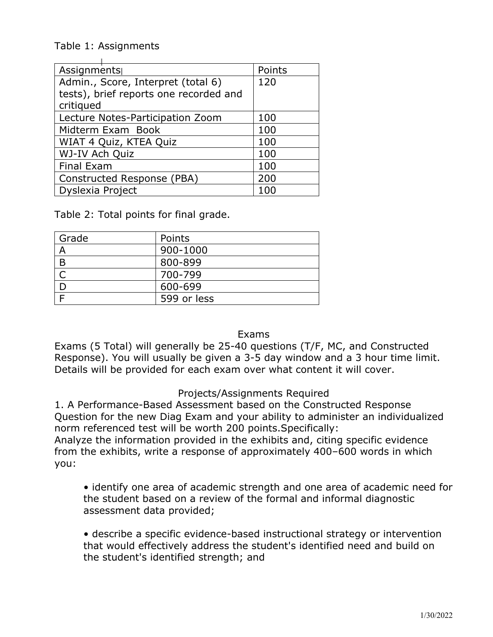Table 1: Assignments

| Assignments                            | Points |
|----------------------------------------|--------|
| Admin., Score, Interpret (total 6)     | 120    |
| tests), brief reports one recorded and |        |
| critiqued                              |        |
| Lecture Notes-Participation Zoom       | 100    |
| Midterm Exam Book                      | 100    |
| WIAT 4 Quiz, KTEA Quiz                 | 100    |
| WJ-IV Ach Quiz                         | 100    |
| Final Exam                             | 100    |
| Constructed Response (PBA)             | 200    |
| <b>Dyslexia Project</b>                | 100    |

Table 2: Total points for final grade.

| Grade | Points      |
|-------|-------------|
| A     | 900-1000    |
| B     | 800-899     |
|       | 700-799     |
|       | 600-699     |
|       | 599 or less |

Exams

Exams (5 Total) will generally be 25-40 questions (T/F, MC, and Constructed Response). You will usually be given a 3-5 day window and a 3 hour time limit. Details will be provided for each exam over what content it will cover.

### Projects/Assignments Required

1. A Performance-Based Assessment based on the Constructed Response Question for the new Diag Exam and your ability to administer an individualized norm referenced test will be worth 200 points.Specifically:

Analyze the information provided in the exhibits and, citing specific evidence from the exhibits, write a response of approximately 400–600 words in which you:

• identify one area of academic strength and one area of academic need for the student based on a review of the formal and informal diagnostic assessment data provided;

• describe a specific evidence-based instructional strategy or intervention that would effectively address the student's identified need and build on the student's identified strength; and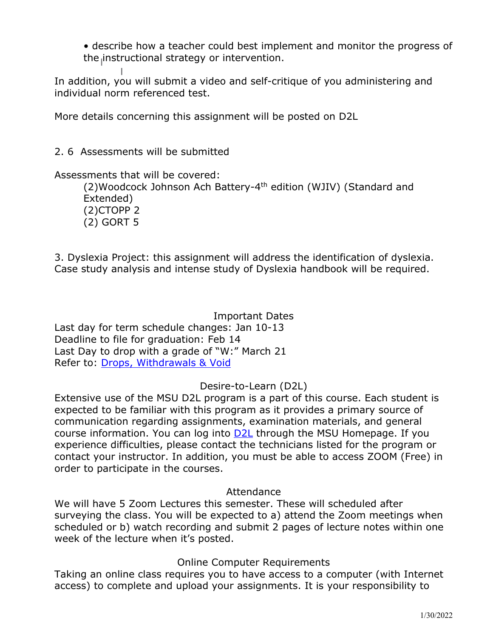• describe how a teacher could best implement and monitor the progress of the instructional strategy or intervention.

In addition, you will submit a video and self-critique of you administering and individual norm referenced test.

More details concerning this assignment will be posted on D2L

2. 6 Assessments will be submitted

Assessments that will be covered:

(2)Woodcock Johnson Ach Battery-4th edition (WJIV) (Standard and Extended) (2)CTOPP 2 (2) GORT 5

3. Dyslexia Project: this assignment will address the identification of dyslexia. Case study analysis and intense study of Dyslexia handbook will be required.

Important Dates Last day for term schedule changes: Jan 10-13 Deadline to file for graduation: Feb 14 Last Day to drop with a grade of "W:" March 21 Refer to: Drops, Withdrawals & Void

Desire-to-Learn (D2L)

Extensive use of the MSU D2L program is a part of this course. Each student is expected to be familiar with this program as it provides a primary source of communication regarding assignments, examination materials, and general course information. You can log into  $D2L$  through the MSU Homepage. If you experience difficulties, please contact the technicians listed for the program or contact your instructor. In addition, you must be able to access ZOOM (Free) in order to participate in the courses.

### Attendance

We will have 5 Zoom Lectures this semester. These will scheduled after surveying the class. You will be expected to a) attend the Zoom meetings when scheduled or b) watch recording and submit 2 pages of lecture notes within one week of the lecture when it's posted.

Online Computer Requirements

Taking an online class requires you to have access to a computer (with Internet access) to complete and upload your assignments. It is your responsibility to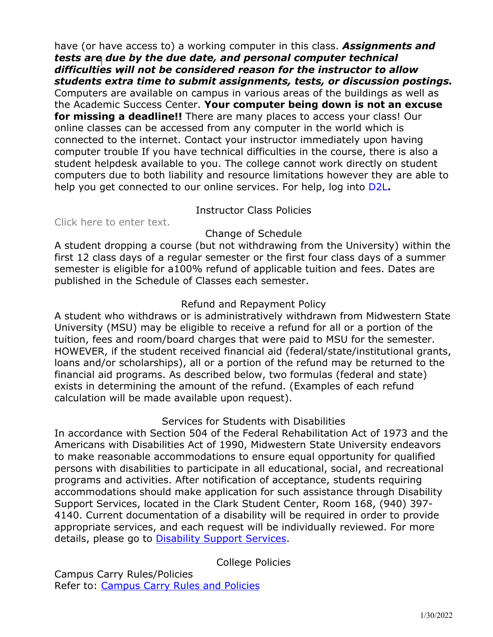have (or have access to) a working computer in this class. *Assignments and tests are due by the due date, and personal computer technical difficulties will not be considered reason for the instructor to allow students extra time to submit assignments, tests, or discussion postings.*  Computers are available on campus in various areas of the buildings as well as the Academic Success Center. **Your computer being down is not an excuse for missing a deadline!!** There are many places to access your class! Our online classes can be accessed from any computer in the world which is connected to the internet. Contact your instructor immediately upon having computer trouble If you have technical difficulties in the course, there is also a student helpdesk available to you. The college cannot work directly on student computers due to both liability and resource limitations however they are able to help you get connected to our online services. For help, log into D2L**.**

### Instructor Class Policies

Click here to enter text.

### Change of Schedule

A student dropping a course (but not withdrawing from the University) within the first 12 class days of a regular semester or the first four class days of a summer semester is eligible for a100% refund of applicable tuition and fees. Dates are published in the Schedule of Classes each semester.

### Refund and Repayment Policy

A student who withdraws or is administratively withdrawn from Midwestern State University (MSU) may be eligible to receive a refund for all or a portion of the tuition, fees and room/board charges that were paid to MSU for the semester. HOWEVER, if the student received financial aid (federal/state/institutional grants, loans and/or scholarships), all or a portion of the refund may be returned to the financial aid programs. As described below, two formulas (federal and state) exists in determining the amount of the refund. (Examples of each refund calculation will be made available upon request).

### Services for Students with Disabilities

In accordance with Section 504 of the Federal Rehabilitation Act of 1973 and the Americans with Disabilities Act of 1990, Midwestern State University endeavors to make reasonable accommodations to ensure equal opportunity for qualified persons with disabilities to participate in all educational, social, and recreational programs and activities. After notification of acceptance, students requiring accommodations should make application for such assistance through Disability Support Services, located in the Clark Student Center, Room 168, (940) 397- 4140. Current documentation of a disability will be required in order to provide appropriate services, and each request will be individually reviewed. For more details, please go to **Disability Support Services**.

### College Policies

Campus Carry Rules/Policies Refer to: Campus Carry Rules and Policies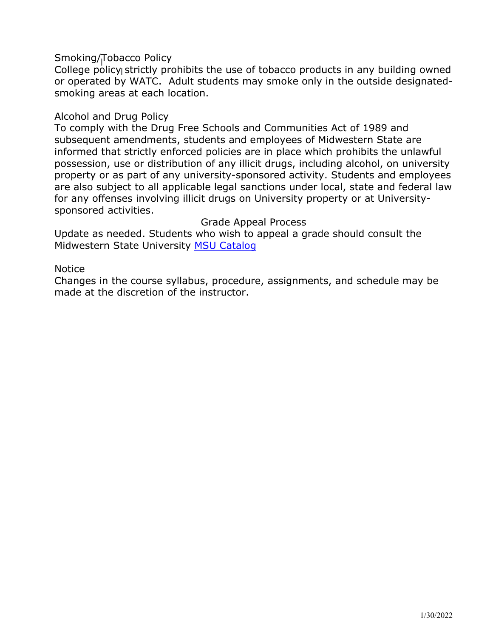Smoking/Tobacco Policy

College policy strictly prohibits the use of tobacco products in any building owned or operated by WATC. Adult students may smoke only in the outside designatedsmoking areas at each location.

### Alcohol and Drug Policy

To comply with the Drug Free Schools and Communities Act of 1989 and subsequent amendments, students and employees of Midwestern State are informed that strictly enforced policies are in place which prohibits the unlawful possession, use or distribution of any illicit drugs, including alcohol, on university property or as part of any university-sponsored activity. Students and employees are also subject to all applicable legal sanctions under local, state and federal law for any offenses involving illicit drugs on University property or at Universitysponsored activities.

Grade Appeal Process

Update as needed. Students who wish to appeal a grade should consult the Midwestern State University MSU Catalog

Notice

Changes in the course syllabus, procedure, assignments, and schedule may be made at the discretion of the instructor.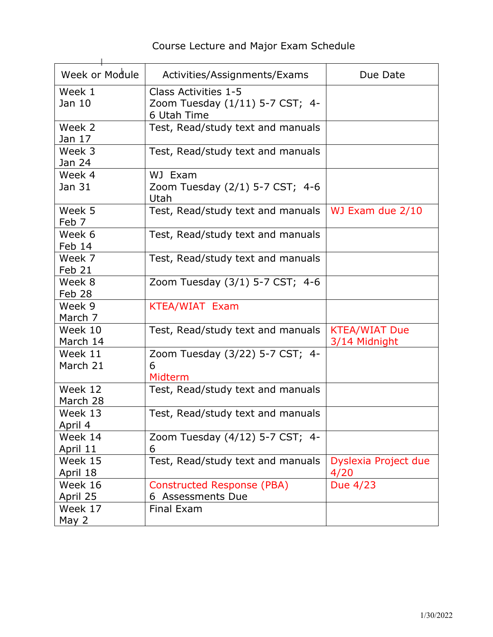| Week or Module | Activities/Assignments/Exams            | Due Date             |
|----------------|-----------------------------------------|----------------------|
| Week 1         | Class Activities 1-5                    |                      |
| Jan 10         | Zoom Tuesday (1/11) 5-7 CST; 4-         |                      |
|                | 6 Utah Time                             |                      |
| Week 2         | Test, Read/study text and manuals       |                      |
| Jan 17         |                                         |                      |
| Week 3         | Test, Read/study text and manuals       |                      |
| Jan 24         |                                         |                      |
| Week 4         | WJ Exam                                 |                      |
| Jan 31         | Zoom Tuesday (2/1) 5-7 CST; 4-6<br>Utah |                      |
| Week 5         | Test, Read/study text and manuals       | WJ Exam due 2/10     |
| Feb 7          |                                         |                      |
| Week 6         | Test, Read/study text and manuals       |                      |
| Feb 14         |                                         |                      |
| Week 7         | Test, Read/study text and manuals       |                      |
| Feb 21         |                                         |                      |
| Week 8         | Zoom Tuesday (3/1) 5-7 CST; 4-6         |                      |
| Feb 28         |                                         |                      |
| Week 9         | <b>KTEA/WIAT Exam</b>                   |                      |
| March 7        |                                         |                      |
| Week 10        | Test, Read/study text and manuals       | <b>KTEA/WIAT Due</b> |
| March 14       |                                         | 3/14 Midnight        |
| Week 11        | Zoom Tuesday (3/22) 5-7 CST; 4-         |                      |
| March 21       | 6                                       |                      |
|                | Midterm                                 |                      |
| Week 12        | Test, Read/study text and manuals       |                      |
| March 28       |                                         |                      |
| Week 13        | Test, Read/study text and manuals       |                      |
| April 4        |                                         |                      |
| Week 14        | Zoom Tuesday (4/12) 5-7 CST; 4-         |                      |
| April 11       | 6                                       |                      |
| Week 15        | Test, Read/study text and manuals       | Dyslexia Project due |
| April 18       |                                         | 4/20                 |
| Week 16        | <b>Constructed Response (PBA)</b>       | Due 4/23             |
| April 25       | 6 Assessments Due                       |                      |
| Week 17        | <b>Final Exam</b>                       |                      |
| May 2          |                                         |                      |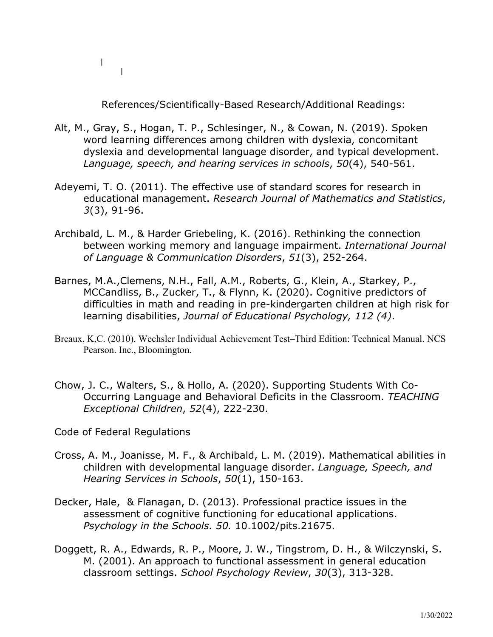$\mathbb{R}$  $\pm$ 

References/Scientifically-Based Research/Additional Readings:

- Alt, M., Gray, S., Hogan, T. P., Schlesinger, N., & Cowan, N. (2019). Spoken word learning differences among children with dyslexia, concomitant dyslexia and developmental language disorder, and typical development. *Language, speech, and hearing services in schools*, *50*(4), 540-561.
- Adeyemi, T. O. (2011). The effective use of standard scores for research in educational management. *Research Journal of Mathematics and Statistics*, *3*(3), 91-96.
- Archibald, L. M., & Harder Griebeling, K. (2016). Rethinking the connection between working memory and language impairment. *International Journal of Language & Communication Disorders*, *51*(3), 252-264.
- Barnes, M.A.,Clemens, N.H., Fall, A.M., Roberts, G., Klein, A., Starkey, P., MCCandliss, B., Zucker, T., & Flynn, K. (2020). Cognitive predictors of difficulties in math and reading in pre-kindergarten children at high risk for learning disabilities, *Journal of Educational Psychology, 112 (4)*.
- Breaux, K,C. (2010). Wechsler Individual Achievement Test–Third Edition: Technical Manual. NCS Pearson. Inc., Bloomington.
- Chow, J. C., Walters, S., & Hollo, A. (2020). Supporting Students With Co-Occurring Language and Behavioral Deficits in the Classroom. *TEACHING Exceptional Children*, *52*(4), 222-230.

Code of Federal Regulations

- Cross, A. M., Joanisse, M. F., & Archibald, L. M. (2019). Mathematical abilities in children with developmental language disorder. *Language, Speech, and Hearing Services in Schools*, *50*(1), 150-163.
- Decker, Hale, & Flanagan, D. (2013). Professional practice issues in the assessment of cognitive functioning for educational applications. *Psychology in the Schools. 50.* 10.1002/pits.21675.
- Doggett, R. A., Edwards, R. P., Moore, J. W., Tingstrom, D. H., & Wilczynski, S. M. (2001). An approach to functional assessment in general education classroom settings. *School Psychology Review*, *30*(3), 313-328.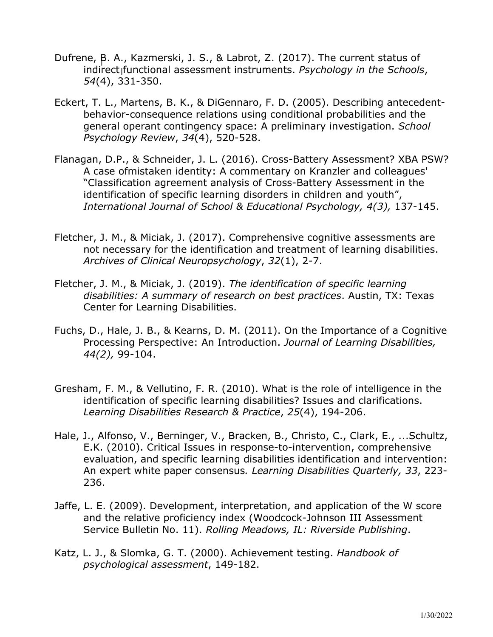- Dufrene, B. A., Kazmerski, J. S., & Labrot, Z. (2017). The current status of indirect functional assessment instruments. *Psychology in the Schools*, *54*(4), 331-350.
- Eckert, T. L., Martens, B. K., & DiGennaro, F. D. (2005). Describing antecedentbehavior-consequence relations using conditional probabilities and the general operant contingency space: A preliminary investigation. *School Psychology Review*, *34*(4), 520-528.
- Flanagan, D.P., & Schneider, J. L. (2016). Cross-Battery Assessment? XBA PSW? A case ofmistaken identity: A commentary on Kranzler and colleagues' "Classification agreement analysis of Cross-Battery Assessment in the identification of specific learning disorders in children and youth", *International Journal of School & Educational Psychology, 4(3),* 137-145.
- Fletcher, J. M., & Miciak, J. (2017). Comprehensive cognitive assessments are not necessary for the identification and treatment of learning disabilities. *Archives of Clinical Neuropsychology*, *32*(1), 2-7.
- Fletcher, J. M., & Miciak, J. (2019). *The identification of specific learning disabilities: A summary of research on best practices*. Austin, TX: Texas Center for Learning Disabilities.
- Fuchs, D., Hale, J. B., & Kearns, D. M. (2011). On the Importance of a Cognitive Processing Perspective: An Introduction. *Journal of Learning Disabilities, 44(2),* 99-104.
- Gresham, F. M., & Vellutino, F. R. (2010). What is the role of intelligence in the identification of specific learning disabilities? Issues and clarifications. *Learning Disabilities Research & Practice*, *25*(4), 194-206.
- Hale, J., Alfonso, V., Berninger, V., Bracken, B., Christo, C., Clark, E., ...Schultz, E.K. (2010). Critical Issues in response-to-intervention, comprehensive evaluation, and specific learning disabilities identification and intervention: An expert white paper consensus*. Learning Disabilities Quarterly, 33*, 223- 236.
- Jaffe, L. E. (2009). Development, interpretation, and application of the W score and the relative proficiency index (Woodcock-Johnson III Assessment Service Bulletin No. 11). *Rolling Meadows, IL: Riverside Publishing*.
- Katz, L. J., & Slomka, G. T. (2000). Achievement testing. *Handbook of psychological assessment*, 149-182.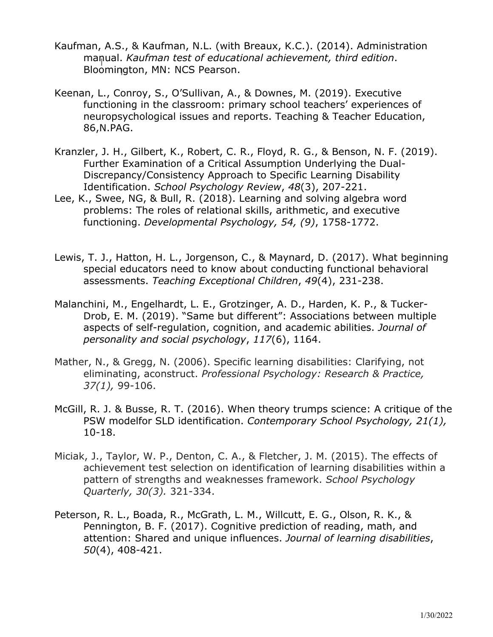- Kaufman, A.S., & Kaufman, N.L. (with Breaux, K.C.). (2014). Administration manual. *Kaufman test of educational achievement, third edition*. Bloomington, MN: NCS Pearson.
- Keenan, L., Conroy, S., O'Sullivan, A., & Downes, M. (2019). Executive functioning in the classroom: primary school teachers' experiences of neuropsychological issues and reports. Teaching & Teacher Education, 86,N.PAG.
- Kranzler, J. H., Gilbert, K., Robert, C. R., Floyd, R. G., & Benson, N. F. (2019). Further Examination of a Critical Assumption Underlying the Dual-Discrepancy/Consistency Approach to Specific Learning Disability Identification. *School Psychology Review*, *48*(3), 207-221.
- Lee, K., Swee, NG, & Bull, R. (2018). Learning and solving algebra word problems: The roles of relational skills, arithmetic, and executive functioning. *Developmental Psychology, 54, (9)*, 1758-1772.
- Lewis, T. J., Hatton, H. L., Jorgenson, C., & Maynard, D. (2017). What beginning special educators need to know about conducting functional behavioral assessments. *Teaching Exceptional Children*, *49*(4), 231-238.
- Malanchini, M., Engelhardt, L. E., Grotzinger, A. D., Harden, K. P., & Tucker-Drob, E. M. (2019). "Same but different": Associations between multiple aspects of self-regulation, cognition, and academic abilities. *Journal of personality and social psychology*, *117*(6), 1164.
- Mather, N., & Gregg, N. (2006). Specific learning disabilities: Clarifying, not eliminating, aconstruct. *Professional Psychology: Research & Practice, 37(1),* 99-106.
- McGill, R. J. & Busse, R. T. (2016). When theory trumps science: A critique of the PSW modelfor SLD identification. *Contemporary School Psychology, 21(1),* 10-18.
- Miciak, J., Taylor, W. P., Denton, C. A., & Fletcher, J. M. (2015). The effects of achievement test selection on identification of learning disabilities within a pattern of strengths and weaknesses framework. *School Psychology Quarterly, 30(3).* 321-334.
- Peterson, R. L., Boada, R., McGrath, L. M., Willcutt, E. G., Olson, R. K., & Pennington, B. F. (2017). Cognitive prediction of reading, math, and attention: Shared and unique influences. *Journal of learning disabilities*, *50*(4), 408-421.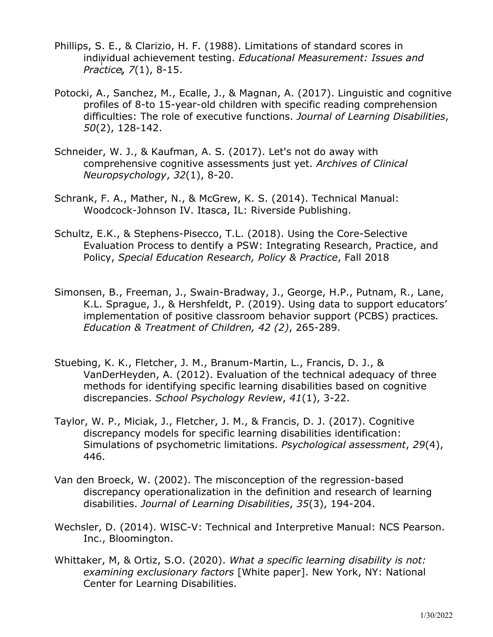- Phillips, S. E., & Clarizio, H. F. (1988). Limitations of standard scores in individual achievement testing. *Educational Measurement: Issues and Practice*, *7*(1), 8-15.
- Potocki, A., Sanchez, M., Ecalle, J., & Magnan, A. (2017). Linguistic and cognitive profiles of 8-to 15-year-old children with specific reading comprehension difficulties: The role of executive functions. *Journal of Learning Disabilities*, *50*(2), 128-142.
- Schneider, W. J., & Kaufman, A. S. (2017). Let's not do away with comprehensive cognitive assessments just yet. *Archives of Clinical Neuropsychology*, *32*(1), 8-20.
- Schrank, F. A., Mather, N., & McGrew, K. S. (2014). Technical Manual: Woodcock-Johnson IV. Itasca, IL: Riverside Publishing.
- Schultz, E.K., & Stephens-Pisecco, T.L. (2018). Using the Core-Selective Evaluation Process to dentify a PSW: Integrating Research, Practice, and Policy, *Special Education Research, Policy & Practice*, Fall 2018
- Simonsen, B., Freeman, J., Swain-Bradway, J., George, H.P., Putnam, R., Lane, K.L. Sprague, J., & Hershfeldt, P. (2019). Using data to support educators' implementation of positive classroom behavior support (PCBS) practices*. Education & Treatment of Children, 42 (2)*, 265-289.
- Stuebing, K. K., Fletcher, J. M., Branum-Martin, L., Francis, D. J., & VanDerHeyden, A. (2012). Evaluation of the technical adequacy of three methods for identifying specific learning disabilities based on cognitive discrepancies. *School Psychology Review*, *41*(1), 3-22.
- Taylor, W. P., Miciak, J., Fletcher, J. M., & Francis, D. J. (2017). Cognitive discrepancy models for specific learning disabilities identification: Simulations of psychometric limitations. *Psychological assessment*, *29*(4), 446.
- Van den Broeck, W. (2002). The misconception of the regression-based discrepancy operationalization in the definition and research of learning disabilities. *Journal of Learning Disabilities*, *35*(3), 194-204.
- Wechsler, D. (2014). WISC-V: Technical and Interpretive Manual: NCS Pearson. Inc., Bloomington.
- Whittaker, M, & Ortiz, S.O. (2020). *What a specific learning disability is not: examining exclusionary factors* [White paper]. New York, NY: National Center for Learning Disabilities.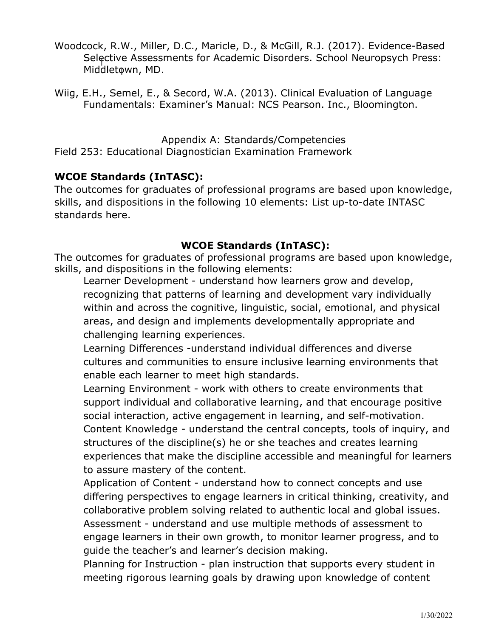- Woodcock, R.W., Miller, D.C., Maricle, D., & McGill, R.J. (2017). Evidence-Based Selective Assessments for Academic Disorders. School Neuropsych Press: Middletown, MD.
- Wiig, E.H., Semel, E., & Secord, W.A. (2013). Clinical Evaluation of Language Fundamentals: Examiner's Manual: NCS Pearson. Inc., Bloomington.

Appendix A: Standards/Competencies Field 253: Educational Diagnostician Examination Framework

### **WCOE Standards (InTASC):**

The outcomes for graduates of professional programs are based upon knowledge, skills, and dispositions in the following 10 elements: List up-to-date INTASC standards here.

## **WCOE Standards (InTASC):**

The outcomes for graduates of professional programs are based upon knowledge, skills, and dispositions in the following elements:

Learner Development - understand how learners grow and develop, recognizing that patterns of learning and development vary individually within and across the cognitive, linguistic, social, emotional, and physical areas, and design and implements developmentally appropriate and challenging learning experiences.

Learning Differences -understand individual differences and diverse cultures and communities to ensure inclusive learning environments that enable each learner to meet high standards.

Learning Environment - work with others to create environments that support individual and collaborative learning, and that encourage positive social interaction, active engagement in learning, and self-motivation. Content Knowledge - understand the central concepts, tools of inquiry, and structures of the discipline(s) he or she teaches and creates learning experiences that make the discipline accessible and meaningful for learners to assure mastery of the content.

Application of Content - understand how to connect concepts and use differing perspectives to engage learners in critical thinking, creativity, and collaborative problem solving related to authentic local and global issues. Assessment - understand and use multiple methods of assessment to engage learners in their own growth, to monitor learner progress, and to guide the teacher's and learner's decision making.

Planning for Instruction - plan instruction that supports every student in meeting rigorous learning goals by drawing upon knowledge of content